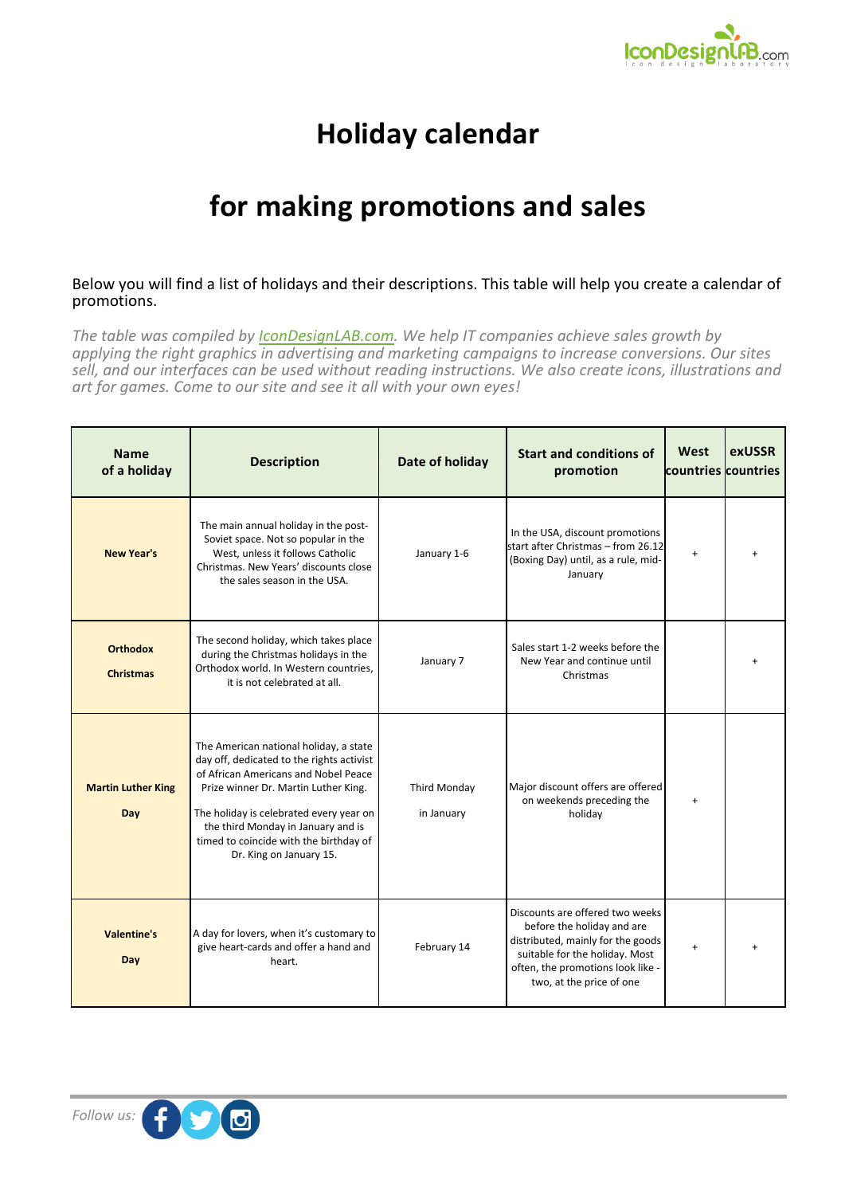

## **Holiday calendar**

## **for making promotions and sales**

## Below you will find a list of holidays and their descriptions. This table will help you create a calendar of promotions.

*The table was compiled by [IconDesignLAB.com.](http://www.icondesignlab.com/en/?utm_source=Calendar&utm_medium=Article&utm_campaign=Holidays) We help IT companies achieve sales growth by applying the right graphics in advertising and marketing campaigns to increase conversions. Our sites sell, and our interfaces can be used without reading instructions. We also create icons, illustrations and art for games. Come to our site and see it all with your own eyes!*

| <b>Name</b><br>of a holiday         | <b>Description</b>                                                                                                                                                                                                                                                                                                        | Date of holiday                   | <b>Start and conditions of</b><br>promotion                                                                                                                                                           | West<br>countries countries | exUSSR |
|-------------------------------------|---------------------------------------------------------------------------------------------------------------------------------------------------------------------------------------------------------------------------------------------------------------------------------------------------------------------------|-----------------------------------|-------------------------------------------------------------------------------------------------------------------------------------------------------------------------------------------------------|-----------------------------|--------|
| <b>New Year's</b>                   | The main annual holiday in the post-<br>Soviet space. Not so popular in the<br>West, unless it follows Catholic<br>Christmas. New Years' discounts close<br>the sales season in the USA.                                                                                                                                  | January 1-6                       | In the USA, discount promotions<br>start after Christmas - from 26.12<br>(Boxing Day) until, as a rule, mid-<br>January                                                                               | $\ddot{}$                   |        |
| <b>Orthodox</b><br><b>Christmas</b> | The second holiday, which takes place<br>during the Christmas holidays in the<br>Orthodox world. In Western countries,<br>it is not celebrated at all.                                                                                                                                                                    | January 7                         | Sales start 1-2 weeks before the<br>New Year and continue until<br>Christmas                                                                                                                          |                             |        |
| <b>Martin Luther King</b><br>Day    | The American national holiday, a state<br>day off, dedicated to the rights activist<br>of African Americans and Nobel Peace<br>Prize winner Dr. Martin Luther King.<br>The holiday is celebrated every year on<br>the third Monday in January and is<br>timed to coincide with the birthday of<br>Dr. King on January 15. | <b>Third Monday</b><br>in January | Major discount offers are offered<br>on weekends preceding the<br>holiday                                                                                                                             | $\ddot{}$                   |        |
| <b>Valentine's</b><br>Day           | A day for lovers, when it's customary to<br>give heart-cards and offer a hand and<br>heart.                                                                                                                                                                                                                               | February 14                       | Discounts are offered two weeks<br>before the holiday and are<br>distributed, mainly for the goods<br>suitable for the holiday. Most<br>often, the promotions look like -<br>two, at the price of one | $\ddot{}$                   |        |

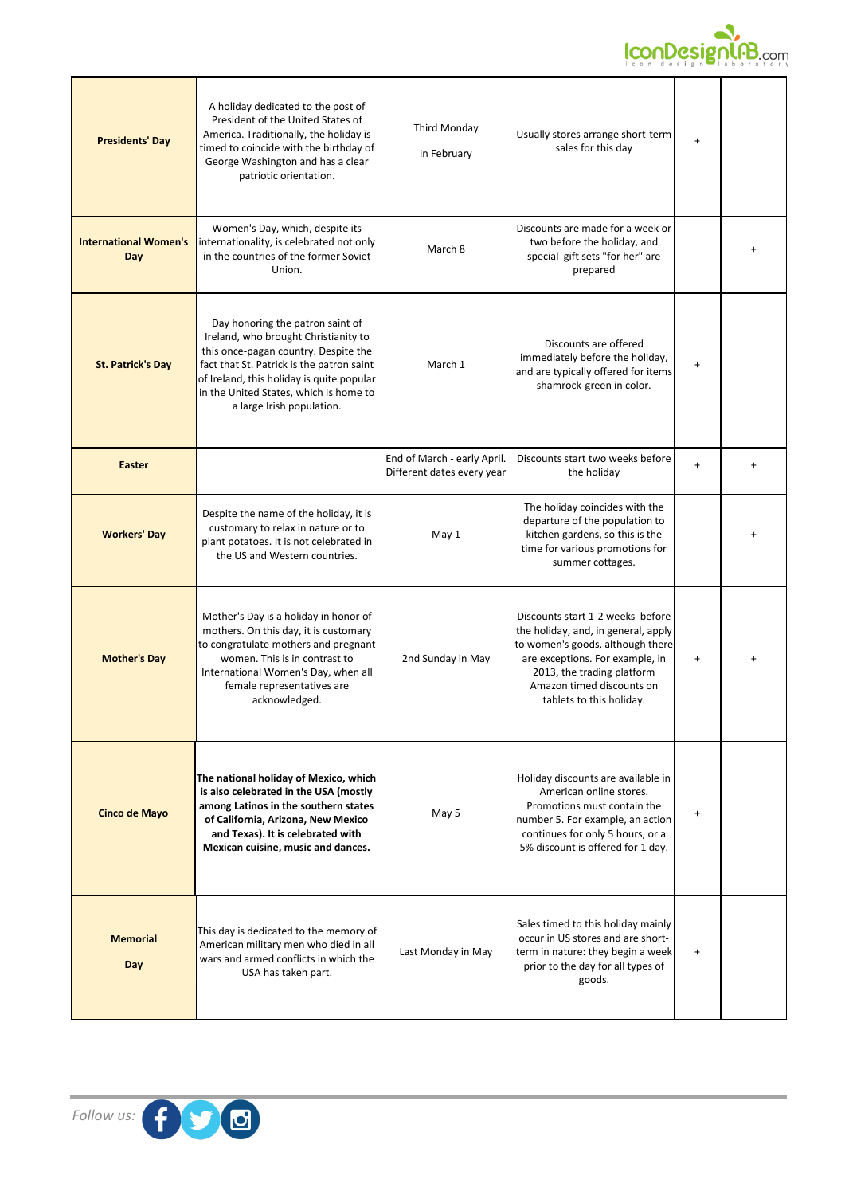

| <b>Presidents' Day</b>              | A holiday dedicated to the post of<br>President of the United States of<br>America. Traditionally, the holiday is<br>timed to coincide with the birthday of<br>George Washington and has a clear<br>patriotic orientation.                                                        | <b>Third Monday</b><br>in February                        | Usually stores arrange short-term<br>sales for this day                                                                                                                                                                               | $\ddot{}$ |           |
|-------------------------------------|-----------------------------------------------------------------------------------------------------------------------------------------------------------------------------------------------------------------------------------------------------------------------------------|-----------------------------------------------------------|---------------------------------------------------------------------------------------------------------------------------------------------------------------------------------------------------------------------------------------|-----------|-----------|
| <b>International Women's</b><br>Day | Women's Day, which, despite its<br>internationality, is celebrated not only<br>in the countries of the former Soviet<br>Union.                                                                                                                                                    | March 8                                                   | Discounts are made for a week or<br>two before the holiday, and<br>special gift sets "for her" are<br>prepared                                                                                                                        |           |           |
| <b>St. Patrick's Day</b>            | Day honoring the patron saint of<br>Ireland, who brought Christianity to<br>this once-pagan country. Despite the<br>fact that St. Patrick is the patron saint<br>of Ireland, this holiday is quite popular<br>in the United States, which is home to<br>a large Irish population. | March 1                                                   | Discounts are offered<br>immediately before the holiday,<br>and are typically offered for items<br>shamrock-green in color.                                                                                                           | $\ddot{}$ |           |
| <b>Easter</b>                       |                                                                                                                                                                                                                                                                                   | End of March - early April.<br>Different dates every year | Discounts start two weeks before<br>the holiday                                                                                                                                                                                       | $\ddot{}$ | $\ddot{}$ |
| <b>Workers' Day</b>                 | Despite the name of the holiday, it is<br>customary to relax in nature or to<br>plant potatoes. It is not celebrated in<br>the US and Western countries.                                                                                                                          | May 1                                                     | The holiday coincides with the<br>departure of the population to<br>kitchen gardens, so this is the<br>time for various promotions for<br>summer cottages.                                                                            |           |           |
| <b>Mother's Day</b>                 | Mother's Day is a holiday in honor of<br>mothers. On this day, it is customary<br>to congratulate mothers and pregnant<br>women. This is in contrast to<br>International Women's Day, when all<br>female representatives are<br>acknowledged.                                     | 2nd Sunday in May                                         | Discounts start 1-2 weeks before<br>the holiday, and, in general, apply<br>to women's goods, although there<br>are exceptions. For example, in<br>2013, the trading platform<br>Amazon timed discounts on<br>tablets to this holiday. | $\ddot{}$ |           |
| <b>Cinco de Mayo</b>                | The national holiday of Mexico, which<br>is also celebrated in the USA (mostly<br>among Latinos in the southern states<br>of California, Arizona, New Mexico<br>and Texas). It is celebrated with<br>Mexican cuisine, music and dances.                                           | May 5                                                     | Holiday discounts are available in<br>American online stores.<br>Promotions must contain the<br>number 5. For example, an action<br>continues for only 5 hours, or a<br>5% discount is offered for 1 day.                             | $\ddot{}$ |           |
| <b>Memorial</b><br>Day              | This day is dedicated to the memory of<br>American military men who died in all<br>wars and armed conflicts in which the<br>USA has taken part.                                                                                                                                   | Last Monday in May                                        | Sales timed to this holiday mainly<br>occur in US stores and are short-<br>term in nature: they begin a week<br>prior to the day for all types of<br>goods.                                                                           | $\ddot{}$ |           |

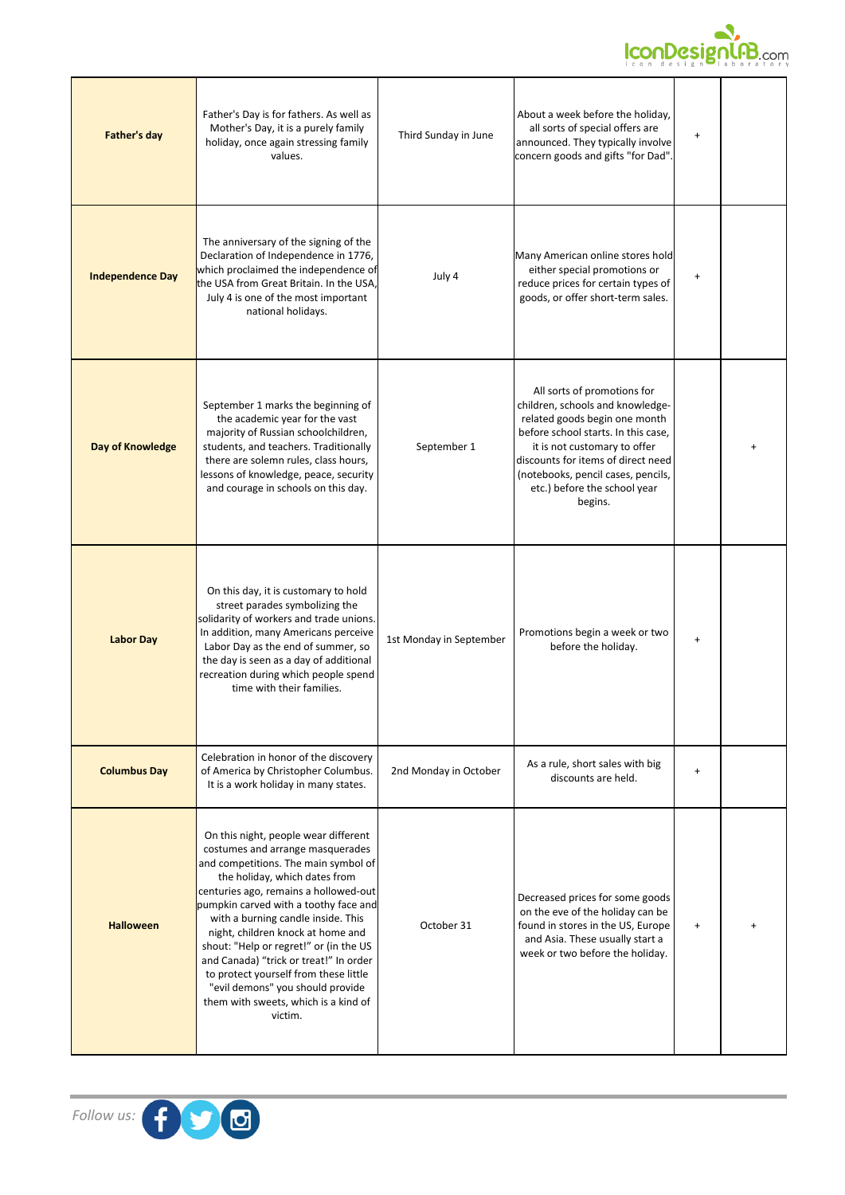

| Father's day            | Father's Day is for fathers. As well as<br>Mother's Day, it is a purely family<br>holiday, once again stressing family<br>values.                                                                                                                                                                                                                                                                                                                                                                                                  | Third Sunday in June    | About a week before the holiday,<br>all sorts of special offers are<br>announced. They typically involve<br>concern goods and gifts "for Dad".                                                                                                                                                 | $\ddot{}$                        |  |
|-------------------------|------------------------------------------------------------------------------------------------------------------------------------------------------------------------------------------------------------------------------------------------------------------------------------------------------------------------------------------------------------------------------------------------------------------------------------------------------------------------------------------------------------------------------------|-------------------------|------------------------------------------------------------------------------------------------------------------------------------------------------------------------------------------------------------------------------------------------------------------------------------------------|----------------------------------|--|
| <b>Independence Day</b> | The anniversary of the signing of the<br>Declaration of Independence in 1776,<br>which proclaimed the independence of<br>the USA from Great Britain. In the USA.<br>July 4 is one of the most important<br>national holidays.                                                                                                                                                                                                                                                                                                      | July 4                  | Many American online stores hold<br>either special promotions or<br>reduce prices for certain types of<br>goods, or offer short-term sales.                                                                                                                                                    | $\ddot{}$                        |  |
| Day of Knowledge        | September 1 marks the beginning of<br>the academic year for the vast<br>majority of Russian schoolchildren,<br>students, and teachers. Traditionally<br>there are solemn rules, class hours,<br>lessons of knowledge, peace, security<br>and courage in schools on this day.                                                                                                                                                                                                                                                       | September 1             | All sorts of promotions for<br>children, schools and knowledge-<br>related goods begin one month<br>before school starts. In this case.<br>it is not customary to offer<br>discounts for items of direct need<br>(notebooks, pencil cases, pencils,<br>etc.) before the school year<br>begins. |                                  |  |
| <b>Labor Day</b>        | On this day, it is customary to hold<br>street parades symbolizing the<br>solidarity of workers and trade unions.<br>In addition, many Americans perceive<br>Labor Day as the end of summer, so<br>the day is seen as a day of additional<br>recreation during which people spend<br>time with their families.                                                                                                                                                                                                                     | 1st Monday in September | Promotions begin a week or two<br>before the holiday.                                                                                                                                                                                                                                          | $\ddot{}$                        |  |
| <b>Columbus Day</b>     | Celebration in honor of the discovery<br>of America by Christopher Columbus.<br>It is a work holiday in many states.                                                                                                                                                                                                                                                                                                                                                                                                               | 2nd Monday in October   | As a rule, short sales with big<br>discounts are held.                                                                                                                                                                                                                                         | $\begin{array}{c} + \end{array}$ |  |
| <b>Halloween</b>        | On this night, people wear different<br>costumes and arrange masquerades<br>and competitions. The main symbol of<br>the holiday, which dates from<br>centuries ago, remains a hollowed-out<br>pumpkin carved with a toothy face and<br>with a burning candle inside. This<br>night, children knock at home and<br>shout: "Help or regret!" or (in the US<br>and Canada) "trick or treat!" In order<br>to protect yourself from these little<br>"evil demons" you should provide<br>them with sweets, which is a kind of<br>victim. | October 31              | Decreased prices for some goods<br>on the eve of the holiday can be<br>found in stores in the US, Europe<br>and Asia. These usually start a<br>week or two before the holiday.                                                                                                                 | $\ddot{}$                        |  |